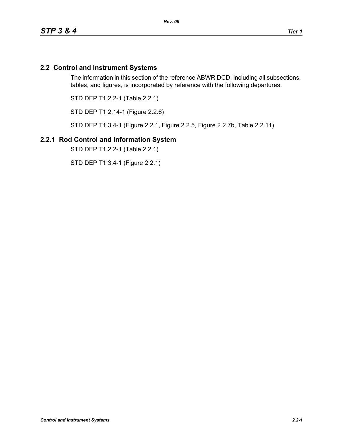# **2.2 Control and Instrument Systems**

The information in this section of the reference ABWR DCD, including all subsections, tables, and figures, is incorporated by reference with the following departures.

STD DEP T1 2.2-1 (Table 2.2.1)

STD DEP T1 2.14-1 (Figure 2.2.6)

STD DEP T1 3.4-1 (Figure 2.2.1, Figure 2.2.5, Figure 2.2.7b, Table 2.2.11)

#### **2.2.1 Rod Control and Information System**

STD DEP T1 2.2-1 (Table 2.2.1)

STD DEP T1 3.4-1 (Figure 2.2.1)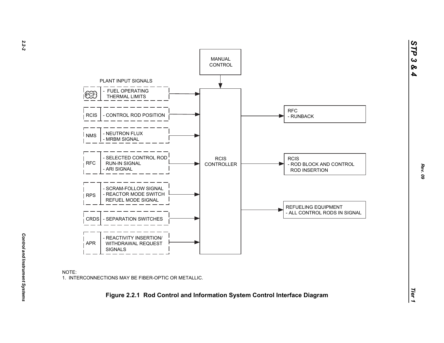

*Control and Instrument Systems* 

Control and Instrument Systems

*STP 3 & 4*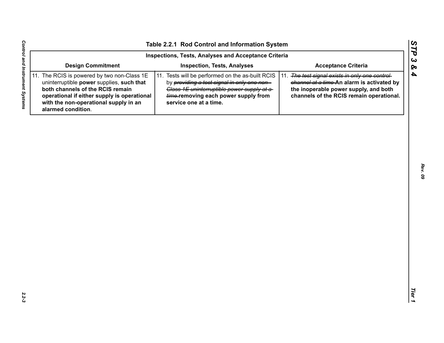| Inspections, Tests, Analyses and Acceptance Criteria                                                                                                                                                                                       |                                                                                                                                                                                                                  |                                                                                                                                                                                    |  |  |  |  |  |  |
|--------------------------------------------------------------------------------------------------------------------------------------------------------------------------------------------------------------------------------------------|------------------------------------------------------------------------------------------------------------------------------------------------------------------------------------------------------------------|------------------------------------------------------------------------------------------------------------------------------------------------------------------------------------|--|--|--|--|--|--|
| <b>Design Commitment</b>                                                                                                                                                                                                                   | <b>Inspection, Tests, Analyses</b>                                                                                                                                                                               | <b>Acceptance Criteria</b>                                                                                                                                                         |  |  |  |  |  |  |
| 11. The RCIS is powered by two non-Class 1E<br>uninterruptible power supplies, such that<br>both channels of the RCIS remain<br>operational if either supply is operational<br>with the non-operational supply in an<br>alarmed condition. | 11. Tests will be performed on the as-built RCIS<br>by providing a test signal in only one non-<br>Class 1E uninterruptible power supply at a-<br>time-removing each power supply from<br>service one at a time. | 11. The test signal exists in only one control-<br>channel at a time-An alarm is activated by<br>the inoperable power supply, and both<br>channels of the RCIS remain operational. |  |  |  |  |  |  |
|                                                                                                                                                                                                                                            |                                                                                                                                                                                                                  |                                                                                                                                                                                    |  |  |  |  |  |  |
|                                                                                                                                                                                                                                            |                                                                                                                                                                                                                  |                                                                                                                                                                                    |  |  |  |  |  |  |
|                                                                                                                                                                                                                                            |                                                                                                                                                                                                                  |                                                                                                                                                                                    |  |  |  |  |  |  |
|                                                                                                                                                                                                                                            |                                                                                                                                                                                                                  |                                                                                                                                                                                    |  |  |  |  |  |  |
|                                                                                                                                                                                                                                            |                                                                                                                                                                                                                  |                                                                                                                                                                                    |  |  |  |  |  |  |
|                                                                                                                                                                                                                                            |                                                                                                                                                                                                                  |                                                                                                                                                                                    |  |  |  |  |  |  |
|                                                                                                                                                                                                                                            |                                                                                                                                                                                                                  |                                                                                                                                                                                    |  |  |  |  |  |  |
|                                                                                                                                                                                                                                            |                                                                                                                                                                                                                  |                                                                                                                                                                                    |  |  |  |  |  |  |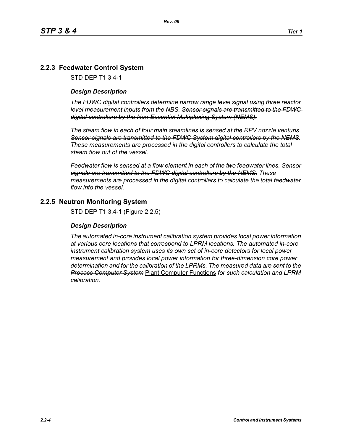# **2.2.3 Feedwater Control System**

STD DEP T1 3.4-1

#### *Design Description*

*The FDWC digital controllers determine narrow range level signal using three reactor level measurement inputs from the NBS. Sensor signals are transmitted to the FDWC digital controllers by the Non-Essential Multiplexing System (NEMS).*

*The steam flow in each of four main steamlines is sensed at the RPV nozzle venturis. Sensor signals are transmitted to the FDWC System digital controllers by the NEMS. These measurements are processed in the digital controllers to calculate the total steam flow out of the vessel.*

*Feedwater flow is sensed at a flow element in each of the two feedwater lines. Sensor signals are transmitted to the FDWC digital controllers by the NEMS. These measurements are processed in the digital controllers to calculate the total feedwater flow into the vessel.*

#### **2.2.5 Neutron Monitoring System**

STD DEP T1 3.4-1 (Figure 2.2.5)

#### *Design Description*

*The automated in-core instrument calibration system provides local power information at various core locations that correspond to LPRM locations. The automated in-core instrument calibration system uses its own set of in-core detectors for local power measurement and provides local power information for three-dimension core power determination and for the calibration of the LPRMs. The measured data are sent to the Process Computer System* Plant Computer Functions *for such calculation and LPRM calibration*.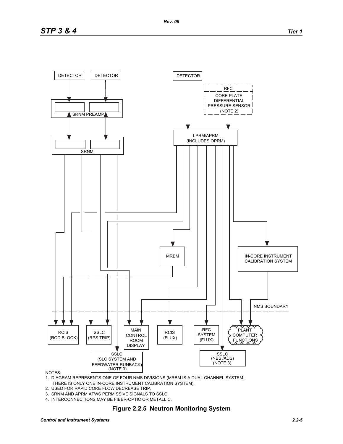

#### NOTES:

1. DIAGRAM REPRESENTS ONE OF FOUR NMS DIVISIONS (MRBM IS A DUAL CHANNEL SYSTEM. THERE IS ONLY ONE IN-CORE INSTRUMENT CALIBRATION SYSTEM).

- 2. USED FOR RAPID CORE FLOW DECREASE TRIP.
- 3. SRNM AND APRM ATWS PERMISSIVE SIGNALS TO SSLC.
- 4. INTERCONNECTIONS MAY BE FIBER-OPTIC OR METALLIC.

# **Figure 2.2.5 Neutron Monitoring System**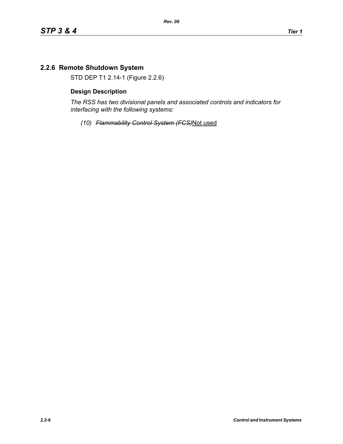# **2.2.6 Remote Shutdown System**

STD DEP T1 2.14-1 (Figure 2.2.6)

#### **Design Description**

*The RSS has two divisional panels and associated controls and indicators for interfacing with the following systems:*

*(10) Flammability Control System (FCS)*Not used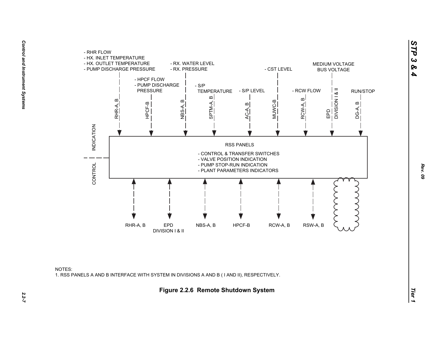



*STP 3 & 4*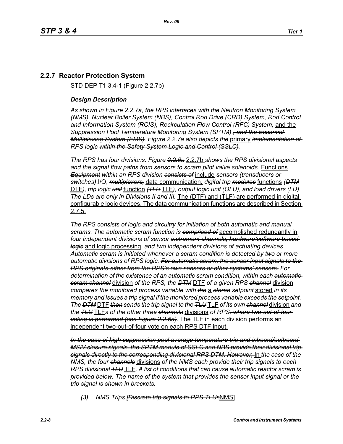# **2.2.7 Reactor Protection System**

STD DEP T1 3.4-1 (Figure 2.2.7b)

#### *Design Description*

*As shown in Figure 2.2.7a, the RPS interfaces with the Neutron Monitoring System (NMS), Nuclear Boiler System (NBS), Control Rod Drive (CRD) System, Rod Control and Information System (RCIS), Recirculation Flow Control (RFC) System,* and the *Suppression Pool Temperature Monitoring System (SPTM)*.*, and the Essential Multiplexing System (EMS). Figure 2.2.7a also depicts the* primary *implementation of RPS logic within the Safety System Logic and Control (SSLC).*

*The RPS has four divisions. Figure 2.2.6a* 2.2.7b *shows the RPS divisional aspects and the signal flow paths from sensors to scram pilot valve solenoids.* Functions *Equipment within an RPS division consists of* include *sensors (transducers or switches)*,I/O, *multiplexers,* data communication, *digital trip modules* functions *(DTM* DTF*), trip logic unit* function *(TLU* TLF*), output logic unit (OLU), and load drivers (LD). The LDs are only in Divisions II and III.* The (DTF) and (TLF) are performed in digital configurable logic devices. The data communication functions are described in Section 2.7.5.

*The RPS consists of logic and circuitry for initiation of both automatic and manual scrams. The automatic scram function is comprised of* accomplished redundantly in *four independent divisions of sensor instrument channels, hardware/software based logic* and logic processing, *and two independent divisions of actuating devices. Automatic scram is initiated whenever a scram condition is detected by two or more automatic divisions of RPS logic. For automatic scram, the sensor input signals to the RPS originate either from the RPS's own sensors or other systems' sensors. For determination of the existence of an automatic scram condition, within each automatic scram channel* division *of the RPS, the DTM* DTF *of a given RPS channel* division *compares the monitored process variable with the* a *stored setpoint* stored *in its memory and issues a trip signal if the monitored process variable exceeds the setpoint. The DTM* DTF *then sends the trip signal to the TLU* TLF *of its own channel* division *and the TLU* TLF*s of the other three channels* divisions *of RPS, where two-out-of-four voting is performed (see Figure 2.2.6a).* The TLF in each division performs an independent two-out-of-four vote on each RPS DTF input.

*In the case of high suppression pool average temperature trip and inboard/outboard MSIV closure signals, the SPTM module of SSLC and NBS provide their divisional trip signals directly to the corresponding divisional RPS DTM. However,* In *the case of the NMS, the four channels* divisions *of the NMS each provide their trip signals to each RPS divisional TLU* TLF. *A list of conditions that can cause automatic reactor scram is provided below. The name of the system that provides the sensor input signal or the trip signal is shown in brackets.*

*(3) NMS Trips [Discrete trip signals to RPS TLUs*NMS]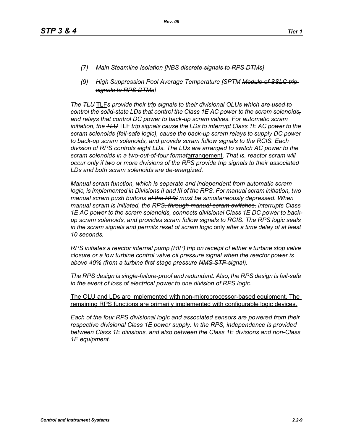- *(7) Main Steamline Isolation [NBS discrete signals to RPS DTMs]*
- *(9) High Suppression Pool Average Temperature [SPTM Module of SSLC trip signals to RPS DTMs]*

*The TLU* TLF*s provide their trip signals to their divisional OLUs which are used to control the solid-state LDs that control the Class 1E AC power to the scram solenoids, and relays that control DC power to back-up scram valves. For automatic scram initiation, the TLU* TLF *trip signals cause the LDs to interrupt Class 1E AC power to the scram solenoids (fail-safe logic), cause the back-up scram relays to supply DC power to back-up scram solenoids, and provide scram follow signals to the RCIS. Each division of RPS controls eight LDs. The LDs are arranged to switch AC power to the scram solenoids in a two-out-of-four format*arrangement. *That is, reactor scram will occur only if two or more divisions of the RPS provide trip signals to their associated LDs and both scram solenoids are de-energized.*

*Manual scram function, which is separate and independent from automatic scram logic, is implemented in Divisions II and III of the RPS. For manual scram initiation, two manual scram push buttons of the RPS must be simultaneously depressed. When manual scram is initiated, the RPS, through manual scram switches, interrupts Class 1E AC power to the scram solenoids, connects divisional Class 1E DC power to backup scram solenoids, and provides scram follow signals to RCIS. The RPS logic seals in the scram signals and permits reset of scram logic* only *after a time delay of at least 10 seconds.*

*RPS initiates a reactor internal pump (RIP) trip on receipt of either a turbine stop valve closure or a low turbine control valve oil pressure signal when the reactor power is above 40% (from a turbine first stage pressure NMS STP signal).*

*The RPS design is single-failure-proof and redundant. Also, the RPS design is fail-safe in the event of loss of electrical power to one division of RPS logic.*

The OLU and LDs are implemented with non-microprocessor-based equipment. The remaining RPS functions are primarily implemented with configurable logic devices.

*Each of the four RPS divisional logic and associated sensors are powered from their respective divisional Class 1E power supply. In the RPS, independence is provided between Class 1E divisions, and also between the Class 1E divisions and non-Class 1E equipment.*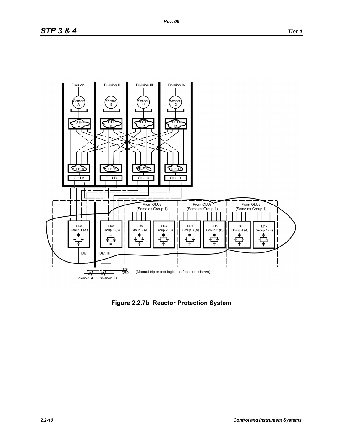# *STP 3 & 4 Tier 1*



**Figure 2.2.7b Reactor Protection System**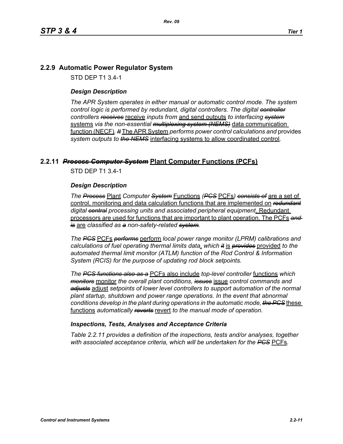# **2.2.9 Automatic Power Regulator System**

STD DEP T1 3.4-1

#### *Design Description*

*The APR System operates in either manual or automatic control mode. The system control logic is performed by redundant, digital controllers. The digital controller controllers receives* receive *inputs from* and send outputs *to interfacing system* systems *via the non-essential multiplexing system (NEMS)* data communication function (NECF)*. It* The APR System *performs power control calculations and* provides *system outputs to the NEMS* interfacing systems to allow coordinated control*.*

# **2.2.11** *Process Computer System* **Plant Computer Functions (PCFs)**

STD DEP T1 3.4-1

#### *Design Description*

*The Process* Plant *Computer System* Functions *(PCS* PCFs*) consists of* are a set of control, monitoring and data calculation functions that are implemented on *redundant digital central processing units and associated peripheral equipment*. Redundant processors are used for functions that are important to plant operation. The PCFs *and is* are *classified as a non-safety-related system.*

*The PCS* PCFs *performs* perform *local power range monitor (LPRM) calibrations and calculations of fuel operating thermal limits data*, *which it* is *provides* provided *to the automated thermal limit monitor (ATLM) function of the Rod Control & Information System (RCIS) for the purpose of updating rod block setpoints.*

*The PCS functions also as a* PCFs also include *top-level controller* functions *which monitors* monitor *the overall plant conditions, issues* issue *control commands and adjusts* adjust *setpoints of lower level controllers to support automation of the normal plant startup, shutdown and power range operations. In the event that abnormal conditions develop in the plant during operations in the automatic mode, the PCS* these functions *automatically reverts* revert *to the manual mode of operation.*

#### *Inspections, Tests, Analyses and Acceptance Criteria*

*Table 2.2.11 provides a definition of the inspections, tests and/or analyses, together with associated acceptance criteria, which will be undertaken for the PCS* PCFs*.*